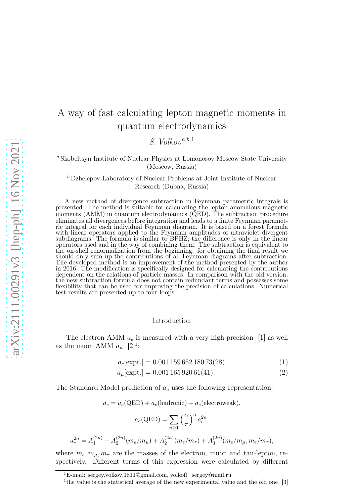## A way of fast calculating lepton magnetic moments in quantum electrodynamics

 $S.~Volkov^{a,b,1}$ 

<sup>a</sup> Skobeltsyn Institute of Nuclear Physics at Lomonosov Moscow State University (Moscow, Russia)

<sup>b</sup> Dzhelepov Laboratory of Nuclear Problems at Joint Institute of Nuclear Research (Dubna, Russia)

A new method of divergence subtraction in Feynman parametric integrals is presented. The method is suitable for calculating the lepton anomalous magnetic moments (AMM) in quantum electrodynamics (QED). The subtraction procedure eliminates all divergences before integration and leads to a finite Feynman parametric integral for each individual Feynman diagram. It is based on a forest formula with linear operators applied to the Feynman amplitudes of ultraviolet-divergent subdiagrams. The formula is similar to BPHZ; the difference is only in the linear operators used and in the way of combining them. The subtraction is equivalent to the on-shell renormalization from the beginning: for obtaining the final result we should only sum up the contributions of all Feynman diagrams after subtraction. The developed method is an improvement of the method presented by the author in 2016. The modification is specifically designed for calculating the contributions dependent on the relations of particle masses. In comparison with the old version, the new subtraction formula does not contain redundant terms and possesses some flexibility that can be used for improving the precision of calculations. Numerical test results are presented up to four loops.

## Introduction

The electron AMM  $a_e$  is measured with a very high precision [1] as well as the muon AMM  $a_{\mu}$  [2]<sup>1</sup>:

$$
a_e[\text{expt.}] = 0.001\,159\,652\,180\,73(28),\tag{1}
$$

$$
a_{\mu}[\text{expt.}] = 0.001\,165\,920\,61(41). \tag{2}
$$

The Standard Model prediction of  $a_e$  uses the following representation:

$$
a_e = a_e(\text{QED}) + a_e(\text{hadronic}) + a_e(\text{electroweak}),
$$

$$
a_e(\text{QED}) = \sum_{\alpha} \left(\frac{\alpha}{\pi}\right)^n a_e^{2n},
$$

π

$$
n \ge 1
$$
  

$$
a_e^{2n} = A_1^{(2n)} + A_2^{(2n)}(m_e/m_\mu) + A_2^{(2n)}(m_e/m_\tau) + A_3^{(2n)}(m_e/m_\mu, m_e/m_\tau),
$$

where  $m_e, m_\mu, m_\tau$  are the masses of the electron, muon and tau-lepton, respectively. Different terms of this expression were calculated by different

<sup>&</sup>lt;sup>1</sup>E-mail: sergey.volkov.1811@gmail.com, volkoff sergey@mail.ru

<sup>&</sup>lt;sup>1</sup>the value is the statistical average of the new experimental value and the old one [3]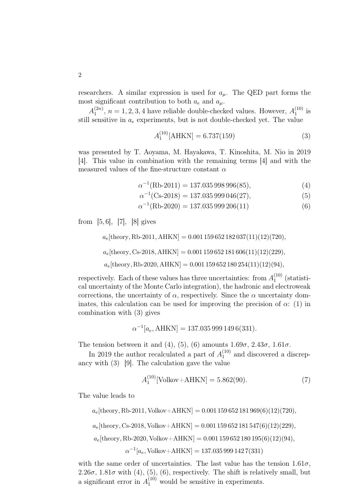researchers. A similar expression is used for  $a_{\mu}$ . The QED part forms the most significant contribution to both  $a_e$  and  $a_\mu$ .

 $A_1^{(2n)}$  $\binom{2n}{1}$ ,  $n = 1, 2, 3, 4$  have reliable double-checked values. However,  $A_1^{(10)}$  $i^{(10)}$  is still sensitive in  $a_e$  experiments, but is not double-checked yet. The value

$$
A_1^{(10)}[\text{AHKN}] = 6.737(159)
$$
 (3)

was presented by T. Aoyama, M. Hayakawa, T. Kinoshita, M. Nio in 2019 [4]. This value in combination with the remaining terms [4] and with the measured values of the fine-structure constant  $\alpha$ 

$$
\alpha^{-1}(\text{Rb-2011}) = 137.035\,998\,996(85),\tag{4}
$$

$$
\alpha^{-1}(\text{Cs-2018}) = 137.035\,999\,046(27),\tag{5}
$$

$$
\alpha^{-1}(\text{Rb-2020}) = 137.035\,999\,206(11) \tag{6}
$$

from [5, 6], [7], [8] gives

 $a_e$ [theory, Rb-2011, AHKN] = 0.001 159 652 182 037(11)(12)(720),  $a_e$ [theory, Cs-2018, AHKN] = 0.001 159 652 181 606(11)(12)(229),  $a_e$ [theory, Rb-2020, AHKN] = 0.001 159 652 180 254(11)(12)(94),

respectively. Each of these values has three uncertainties: from  $A_1^{(10)}$  $_1^{\text{(10)}}$  (statistical uncertainty of the Monte Carlo integration), the hadronic and electroweak corrections, the uncertainty of  $\alpha$ , respectively. Since the  $\alpha$  uncertainty dominates, this calculation can be used for improving the precision of  $\alpha$ : (1) in combination with (3) gives

$$
\alpha^{-1}[a_e, \text{AHKN}] = 137.035\,999\,149\,6(331).
$$

The tension between it and (4), (5), (6) amounts  $1.69\sigma$ ,  $2.43\sigma$ ,  $1.61\sigma$ .

In 2019 the author recalculated a part of  $A_1^{(10)}$  and discovered a discrepancy with (3) [9]. The calculation gave the value

$$
A_1^{(10)}[\text{Volkov} + \text{AHKN}] = 5.862(90). \tag{7}
$$

The value leads to

 $a_e$ [theory, Rb-2011, Volkov+AHKN] = 0.001 159 652 181 969(6)(12)(720),

 $a_e$ [theory, Cs-2018, Volkov+AHKN] = 0.001 159 652 181 547(6)(12)(229),

$$
a_e
$$
[theory, Rb-2020, Volkov+AHKN] = 0.001 159 652 180 195(6)(12)(94),

 $\alpha^{-1}[a_e, \text{Volkov+AHKN}] = 137.035\,999\,142\,7(331)$ 

with the same order of uncertainties. The last value has the tension  $1.61\sigma$ , 2.26 $\sigma$ , 1.81 $\sigma$  with (4), (5), (6), respectively. The shift is relatively small, but a significant error in  $A_1^{(10)}$  would be sensitive in experiments.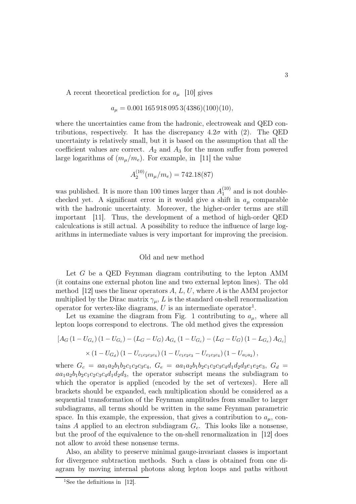A recent theoretical prediction for  $a_{\mu}$  [10] gives

$$
a_{\mu} = 0.001\,165\,918\,095\,3(4386)(100)(10),
$$

where the uncertainties came from the hadronic, electroweak and QED contributions, respectively. It has the discrepancy  $4.2\sigma$  with (2). The QED uncertainty is relatively small, but it is based on the assumption that all the coefficient values are correct.  $A_2$  and  $A_3$  for the muon suffer from powered large logarithms of  $(m_{\mu}/m_e)$ . For example, in [11] the value

$$
A_2^{(10)}(m_\mu/m_e) = 742.18(87)
$$

was published. It is more than 100 times larger than  $A_1^{(10)}$  $_1^{(10)}$  and is not doublechecked yet. A significant error in it would give a shift in  $a_{\mu}$  comparable with the hadronic uncertainty. Moreover, the higher-order terms are still important [11]. Thus, the development of a method of high-order QED calculcations is still actual. A possibility to reduce the influence of large logarithms in intermediate values is very important for improving the precision.

## Old and new method

Let  $G$  be a QED Feynman diagram contributing to the lepton AMM (it contains one external photon line and two external lepton lines). The old method [12] uses the linear operators  $A, L, U$ , where  $A$  is the AMM projector multiplied by the Dirac matrix  $\gamma_{\mu}$ , L is the standard on-shell renormalization operator for vertex-like diagrams,  $U$  is an intermediate operator<sup>1</sup>.

Let us examine the diagram from Fig. 1 contributing to  $a_{\mu}$ , where all lepton loops correspond to electrons. The old method gives the expression

$$
[A_G (1 - U_{G_e}) (1 - U_{G_c}) - (L_G - U_G) A_{G_e} (1 - U_{G_c}) - (L_G - U_G) (1 - L_{G_e}) A_{G_c}]
$$
  
× (1 - U\_{G\_d}) (1 - U\_{c\_1 c\_2 c\_3 c\_4}) (1 - U\_{c\_1 c\_2 c\_3} - U\_{c\_1 c\_3 c\_4}) (1 - U\_{a\_1 a\_2}),

where  $G_c = aa_1a_2b_1b_2c_1c_2c_3c_4$ ,  $G_e = aa_1a_2b_1b_2c_1c_2c_3c_4d_1d_2d_3e_1e_2e_3$ ,  $G_d =$  $aa_1a_2b_1b_2c_1c_2c_3c_4d_1d_2d_3$ , the operator subscript means the subdiagram to which the operator is applied (encoded by the set of vertexes). Here all brackets should be expanded, each multiplication should be considered as a sequential transformation of the Feynman amplitudes from smaller to larger subdiagrams, all terms should be written in the same Feynman parametric space. In this example, the expression, that gives a contribution to  $a_{\mu}$ , contains A applied to an electron subdiagram  $G_c$ . This looks like a nonsense, but the proof of the equivalence to the on-shell renormalization in [12] does not allow to avoid these nonsense terms.

Also, an ability to preserve minimal gauge-invariant classes is important for divergence subtraction methods. Such a class is obtained from one diagram by moving internal photons along lepton loops and paths without

<sup>&</sup>lt;sup>1</sup>See the definitions in  $[12]$ .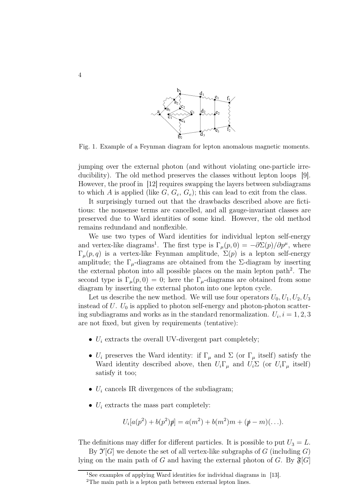

Fig. 1. Example of a Feynman diagram for lepton anomalous magnetic moments.

jumping over the external photon (and without violating one-particle irreducibility). The old method preserves the classes without lepton loops [9]. However, the proof in [12] requires swapping the layers between subdiagrams to which A is applied (like  $G, G_c, G_e$ ); this can lead to exit from the class.

It surprisingly turned out that the drawbacks described above are fictitious: the nonsense terms are cancelled, and all gauge-invariant classes are preserved due to Ward identities of some kind. However, the old method remains redundand and nonflexible.

We use two types of Ward identities for individual lepton self-energy and vertex-like diagrams<sup>1</sup>. The first type is  $\Gamma_{\mu}(p,0) = -\partial \Sigma(p)/\partial p^{\mu}$ , where  $\Gamma_{\mu}(p,q)$  is a vertex-like Feynman amplitude,  $\Sigma(p)$  is a lepton self-energy amplitude; the  $\Gamma_{\mu}$ -diagrams are obtained from the Σ-diagram by inserting the external photon into all possible places on the main lepton path<sup>2</sup>. The second type is  $\Gamma_{\mu}(p, 0) = 0$ ; here the  $\Gamma_{\mu}$ -diagrams are obtained from some diagram by inserting the external photon into one lepton cycle.

Let us describe the new method. We will use four operators  $U_0, U_1, U_2, U_3$ instead of  $U$ .  $U_0$  is applied to photon self-energy and photon-photon scattering subdiagrams and works as in the standard renormalization.  $U_i$ ,  $i = 1, 2, 3$ are not fixed, but given by requirements (tentative):

- $U_i$  extracts the overall UV-divergent part completely;
- $U_i$  preserves the Ward identity: if  $\Gamma_\mu$  and  $\Sigma$  (or  $\Gamma_\mu$  itself) satisfy the Ward identity described above, then  $U_i\Gamma_\mu$  and  $U_i\Sigma$  (or  $U_i\Gamma_\mu$  itself) satisfy it too;
- $U_i$  cancels IR divergences of the subdiagram;
- $U_i$  extracts the mass part completely:

$$
U_i[a(p^2) + b(p^2)\mathbf{p}] = a(m^2) + b(m^2)m + (\mathbf{p} - m)(\ldots).
$$

The definitions may differ for different particles. It is possible to put  $U_3 = L$ .

By  $\mathfrak{I}'[G]$  we denote the set of all vertex-like subgraphs of G (including G) lying on the main path of G and having the external photon of G. By  $\mathfrak{F}[G]$ 

<sup>&</sup>lt;sup>1</sup>See examples of applying Ward identities for individual diagrams in [13].

<sup>2</sup>The main path is a lepton path between external lepton lines.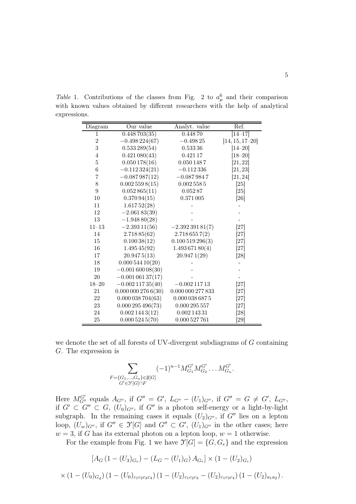| Diagram        | Our value                | Analyt. value          | Ref.                 |
|----------------|--------------------------|------------------------|----------------------|
| 1              | 0.448703(35)             | 0.44870                | $\overline{1}4 - 17$ |
| $\overline{2}$ | $-0.498224(67)$          | $-0.49825$             | $[14, 15, 17-20]$    |
| 3              | 0.533289(54)             | 0.53336                | $[14 - 20]$          |
| 4              | $0.421\,080(43)$         | 0.42117                | $[18 - 20]$          |
| 5              | 0.050178(16)             | 0.0501487              | [21, 22]             |
| 6              | $-0.112324(21)$          | $-0.112336$            | [21, 23]             |
| 7              | $-0.087987(12)$          | $-0.0879847$           | [21, 24]             |
| 8              | 0.0025598(15)            | 0.0025585              | [25]                 |
| 9              | 0.052865(11)             | $0.052\,87$            | [25]                 |
| 10             | 0.37094(15)              | $0.371\,005$           | [26]                 |
| 11             | 1.61752(28)              |                        |                      |
| 12             | $-2.06183(39)$           |                        |                      |
| 13             | $-1.94880(28)$           |                        |                      |
| $11 - 13$      | $-2.39311(56)$           | $-2.39239181(7)$       | [27]                 |
| 14             | 2.71885(62)              | 2.7186557(2)           | [27]                 |
| 15             | 0.10038(12)              | 0.100519296(3)         | [27]                 |
| 16             | 1.49545(92)              | 1.49367180(4)          | [27]                 |
| 17             | 20.9475(13)              | 20.9471(29)            | [28]                 |
| 18             | 0.00054410(20)           |                        |                      |
| $19\,$         | $-0.00160008(30)$        |                        |                      |
| $20\,$         | $-0.00106137(17)$        |                        |                      |
| $18 - 20$      | $-0.00211735(40)$        | $-0.00211713$          | $[27]$               |
| 21             | $0.000\,000\,276\,6(30)$ | $0.000\,000\,277\,833$ | [27]                 |
| 22             | 0.000038704(63)          | $0.000\,038\,687\,5$   | [27]                 |
| 23             | 0.000295496(73)          | 0.000 295 557          | [27]                 |
| 24             | 0.0021443(12)            | $0.002\,143\,31$       | [28]                 |
| 25             | 0.0005245(70)            | 0.000 527 761          | [29]                 |

Table 1. Contributions of the classes from Fig. 2 to  $a_\mu^6$  and their comparison with known values obtained by different researchers with the help of analytical expressions.

we denote the set of all forests of UV-divergent subdiagrams of G containing G. The expression is

$$
\sum_{\substack{F=\{G_1,\ldots,G_n\}\in \mathfrak{F}[G] \\ G'\in \mathfrak{I}'[G]\cap F}} (-1)^{n-1} M_{G_1}^{G'} M_{G_2}^{G'} \ldots M_{G_n}^{G'}.
$$

Here  $M_{G''}^{G'}$  equals  $A_{G''}$ , if  $G'' = G'$ ,  $L_{G''} - (U_1)_{G''}$ , if  $G'' = G \neq G'$ ,  $L_{G''}$ , if  $G' \subset G'' \subset G$ ,  $(U_0)_{G''}$ , if  $G''$  is a photon self-energy or a light-by-light subgraph. In the remaining cases it equals  $(U_2)_{G''}$ , if  $G''$  lies on a lepton loop,  $(U_w)_{G''}$ , if  $G'' \in \mathfrak{I}'[G]$  and  $G'' \subset G'$ ,  $(U_1)_{G''}$  in the other cases; here  $w = 3$ , if G has its external photon on a lepton loop,  $w = 1$  otherwise.

For the example from Fig. 1 we have  $\mathfrak{I}'[G] = \{G, G_e\}$  and the expression

$$
[A_G (1 - (U_3)_{G_e}) - (L_G - (U_1)_G) A_{G_e}] \times (1 - (U_2)_{G_e})
$$
  
 
$$
\times (1 - (U_0)_{G_d}) (1 - (U_0)_{c_1 c_2 c_3 c_4}) (1 - (U_2)_{c_1 c_2 c_3} - (U_2)_{c_1 c_3 c_4}) (1 - (U_2)_{a_1 a_2}).
$$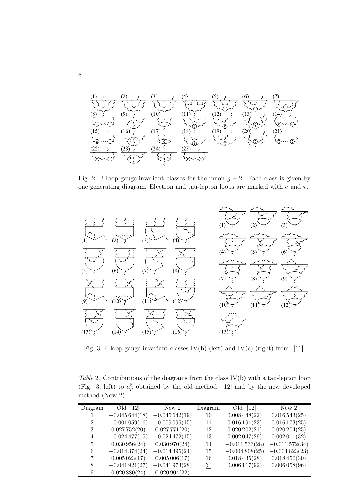

Fig. 2. 3-loop gauge-invariant classes for the muon  $g - 2$ . Each class is given by one generating diagram. Electron and tau-lepton loops are marked with  $e$  and  $\tau$ .



Fig. 3. 4-loop gauge-invariant classes  $IV(b)$  (left) and  $IV(c)$  (right) from [11].

Table 2. Contributions of the diagrams from the class IV(b) with a tau-lepton loop (Fig. 3, left) to  $a_\mu^8$  obtained by the old method [12] and by the new developed method (New 2).

| Diagram        | Old<br>$\left[12\right]$ | New <sub>2</sub> | Diagram | Old [12]        | New <sub>2</sub> |
|----------------|--------------------------|------------------|---------|-----------------|------------------|
|                | $-0.045644(18)$          | $-0.045642(19)$  | 10      | 0.008448(22)    | 0.016543(25)     |
| $\overline{2}$ | $-0.001059(16)$          | $-0.009095(15)$  | 11      | 0.016191(23)    | 0.016173(25)     |
| 3              | 0.027752(20)             | 0.027771(20)     | 12      | 0.020202(21)    | 0.020204(25)     |
| 4              | $-0.024477(15)$          | $-0.024472(15)$  | 13      | 0.002047(29)    | 0.002011(32)     |
| 5              | 0.030956(24)             | 0.030970(24)     | 14      | $-0.011533(28)$ | $-0.011572(34)$  |
| 6              | $-0.014374(24)$          | $-0.014395(24)$  | 15      | $-0.004808(25)$ | $-0.004823(23)$  |
| 7              | 0.005023(17)             | 0.005006(17)     | 16      | 0.018435(28)    | 0.018450(30)     |
| 8              | $-0.041921(27)$          | $-0.041973(28)$  | $\sum$  | 0.006117(92)    | 0.006058(96)     |
| 9              | 0.020880(24)             | 0.020904(22)     |         |                 |                  |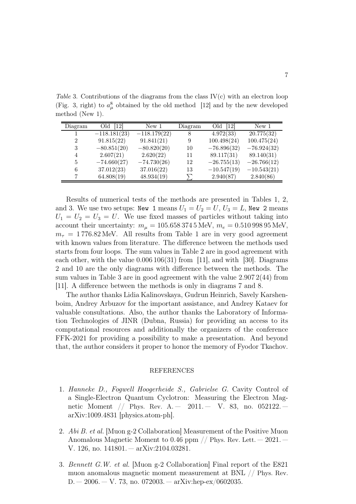Table 3. Contributions of the diagrams from the class  $IV(c)$  with an electron loop (Fig. 3, right) to  $a_\mu^8$  obtained by the old method [12] and by the new developed method (New 1).

| Diagram        | 12 <br>Old     | New 1          | Diagram | Old [12]      | New <sub>1</sub> |
|----------------|----------------|----------------|---------|---------------|------------------|
|                | $-118.181(23)$ | $-118.179(22)$ |         | 4.972(33)     | 20.775(32)       |
| $\overline{2}$ | 91.815(22)     | 91.841(21)     | 9       | 100.498(24)   | 100.475(24)      |
| 3              | $-80.851(20)$  | $-80.820(20)$  | 10      | $-76.896(32)$ | $-76.924(32)$    |
| 4              | 2.607(21)      | 2.620(22)      | 11      | 89.117(31)    | 89.140(31)       |
| 5              | $-74.660(27)$  | $-74.730(26)$  | 12      | $-26.755(13)$ | $-26.766(12)$    |
| 6              | 37.012(23)     | 37.016(22)     | 13      | $-10.547(19)$ | $-10.543(21)$    |
|                | 64.808(19)     | 48.934(19)     |         | 2.940(87)     | 2.840(86)        |

Results of numerical tests of the methods are presented in Tables 1, 2, and 3. We use two setups: New 1 means  $U_1 = U_2 = U$ ,  $U_3 = L$ , New 2 means  $U_1 = U_2 = U_3 = U$ . We use fixed masses of particles without taking into account their uncertainty:  $m_{\mu} = 105.6583745 \text{ MeV}, m_{e} = 0.51099895 \text{ MeV},$  $m<sub>\tau</sub> = 1776.82 \text{ MeV}$ . All results from Table 1 are in very good agreement with known values from literature. The difference between the methods used starts from four loops. The sum values in Table 2 are in good agreement with each other, with the value  $0.006106(31)$  from [11], and with [30]. Diagrams 2 and 10 are the only diagrams with difference between the methods. The sum values in Table 3 are in good agreement with the value 2.907 2(44) from [11]. A difference between the methods is only in diagrams 7 and 8.

The author thanks Lidia Kalinovskaya, Gudrun Heinrich, Savely Karshenboim, Andrey Arbuzov for the important assistance, and Andrey Kataev for valuable consultations. Also, the author thanks the Laboratory of Information Technologies of JINR (Dubna, Russia) for providing an access to its computational resources and additionally the organizers of the conference FFK-2021 for providing a possibility to make a presentation. And beyond that, the author considers it proper to honor the memory of Fyodor Tkachov.

## REFERENCES

- 1. Hanneke D., Fogwell Hoogerheide S., Gabrielse G. Cavity Control of a Single-Electron Quantum Cyclotron: Measuring the Electron Magnetic Moment // Phys. Rev. A.  $-$  2011.  $-$  V. 83, no. 052122. arXiv:1009.4831 [physics.atom-ph].
- 2. Abi B. et al. [Muon g-2 Collaboration] Measurement of the Positive Muon Anomalous Magnetic Moment to 0.46 ppm  $//$  Phys. Rev. Lett.  $-$  2021.  $-$ V. 126, no. 141801. — arXiv:2104.03281.
- 3. Bennett G.W. et al. [Muon g-2 Collaboration] Final report of the E821 muon anomalous magnetic moment measurement at BNL // Phys. Rev.  $D. - 2006. - V. 73$ , no. 072003. — arXiv:hep-ex/0602035.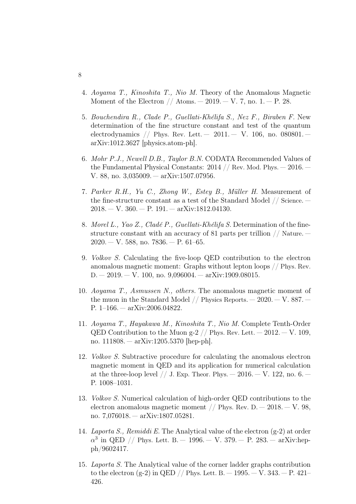- 4. Aoyama T., Kinoshita T., Nio M. Theory of the Anomalous Magnetic Moment of the Electron  $//$  Atoms.  $- 2019. - V.$  7, no. 1.  $- P. 28.$
- 5. Bouchendira R., Clade P., Guellati-Khélifa S., Nez F., Biraben F. New determination of the fine structure constant and test of the quantum electrodynamics // Phys. Rev. Lett.  $-2011 - V. 106$ , no.  $080801$ arXiv:1012.3627 [physics.atom-ph].
- 6. Mohr P.J., Newell D.B., Taylor B.N. CODATA Recommended Values of the Fundamental Physical Constants: 2014 // Rev. Mod. Phys. — 2016. — V. 88, no. 3,035009. — arXiv:1507.07956.
- 7. Parker R.H., Yu C., Zhong W., Estey B., Müller H. Measurement of the fine-structure constant as a test of the Standard Model // Science. —  $2018. - V. 360. - P. 191. - arXiv:1812.04130.$
- 8. Morel L., Yao Z., Cladé P., Guellati-Khélifa S. Determination of the finestructure constant with an accuracy of 81 parts per trillion // Nature. —  $2020 - V. 588$ , no.  $7836 - P. 61-65$ .
- 9. Volkov S. Calculating the five-loop QED contribution to the electron anomalous magnetic moment: Graphs without lepton loops // Phys. Rev.  $D. - 2019. - V. 100$ , no.  $9,096004. - arXiv:1909.08015.$
- 10. Aoyama T., Asmussen N., others. The anomalous magnetic moment of the muon in the Standard Model  $//$  Physics Reports.  $-2020 - V. 887$ . P. 1–166. — arXiv:2006.04822.
- 11. Aoyama T., Hayakawa M., Kinoshita T., Nio M. Complete Tenth-Order QED Contribution to the Muon g-2  $//$  Phys. Rev. Lett.  $-2012$ .  $-V. 109$ . no. 111808. — arXiv:1205.5370 [hep-ph].
- 12. Volkov S. Subtractive procedure for calculating the anomalous electron magnetic moment in QED and its application for numerical calculation at the three-loop level // J. Exp. Theor. Phys.  $-2016. -V.$  122, no. 6.  $-$ P. 1008–1031.
- 13. Volkov S. Numerical calculation of high-order QED contributions to the electron anomalous magnetic moment  $//$  Phys. Rev. D.  $-$  2018.  $-$  V. 98, no. 7,076018. — arXiv:1807.05281.
- 14. Laporta S., Remiddi E. The Analytical value of the electron  $(g-2)$  at order  $\alpha^3$  in QED // Phys. Lett. B.  $-$  1996.  $-$  V. 379.  $-$  P. 283.  $-$  arXiv:hepph/9602417.
- 15. Laporta S. The Analytical value of the corner ladder graphs contribution to the electron (g-2) in QED // Phys. Lett. B.  $-$  1995.  $-$  V. 343.  $-$  P. 421– 426.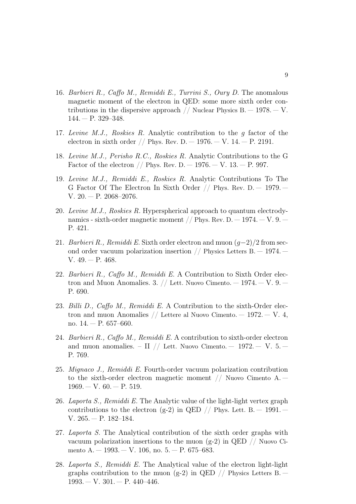- 16. Barbieri R., Caffo M., Remiddi E., Turrini S., Oury D. The anomalous magnetic moment of the electron in QED: some more sixth order contributions in the dispersive approach  $//$  Nuclear Physics B.  $-1978. - V.$  $144. - P. 329 - 348.$
- 17. Levine M.J., Roskies R. Analytic contribution to the g factor of the electron in sixth order // Phys. Rev. D.  $-1976. - V.$  14.  $- P. 2191.$
- 18. Levine M.J., Perisho R.C., Roskies R. Analytic Contributions to the G Factor of the electron  $//$  Phys. Rev. D.  $-$  1976.  $-$  V. 13.  $-$  P. 997.
- 19. Levine M.J., Remiddi E., Roskies R. Analytic Contributions To The G Factor Of The Electron In Sixth Order  $//$  Phys. Rev. D.  $-$  1979. V. 20. — P. 2068–2076.
- 20. Levine M.J., Roskies R. Hyperspherical approach to quantum electrodynamics - sixth-order magnetic moment  $//$  Phys. Rev. D.  $-1974. -V.$  9.  $-$ P. 421.
- 21. Barbieri R., Remiddi E. Sixth order electron and muon  $(g-2)/2$  from second order vacuum polarization insertion  $//$  Physics Letters B.  $-$  1974.  $-$ V. 49. — P. 468.
- 22. Barbieri R., Caffo M., Remiddi E. A Contribution to Sixth Order electron and Muon Anomalies. 3.  $//$  Lett. Nuovo Cimento.  $-1974. -V.$  9.  $-$ P. 690.
- 23. Billi D., Caffo M., Remiddi E. A Contribution to the sixth-Order electron and muon Anomalies  $//$  Lettere al Nuovo Cimento.  $-$  1972.  $-$  V. 4, no. 14. — P. 657–660.
- 24. Barbieri R., Caffo M., Remiddi E. A contribution to sixth-order electron and muon anomalies. – II // Lett. Nuovo Cimento. – 1972. – V. 5. – P. 769.
- 25. Mignaco J., Remiddi E. Fourth-order vacuum polarization contribution to the sixth-order electron magnetic moment // Nuovo Cimento A. —  $1969. - V. 60. - P. 519.$
- 26. Laporta S., Remiddi E. The Analytic value of the light-light vertex graph contributions to the electron (g-2) in QED // Phys. Lett. B.  $-$  1991.  $-$ V. 265. — P. 182–184.
- 27. Laporta S. The Analytical contribution of the sixth order graphs with vacuum polarization insertions to the muon  $(g-2)$  in QED // Nuovo Cimento A. — 1993. — V. 106, no. 5. — P. 675–683.
- 28. Laporta S., Remiddi E. The Analytical value of the electron light-light graphs contribution to the muon (g-2) in QED // Physics Letters B.  $1993. - V. 301. - P. 440 - 446.$